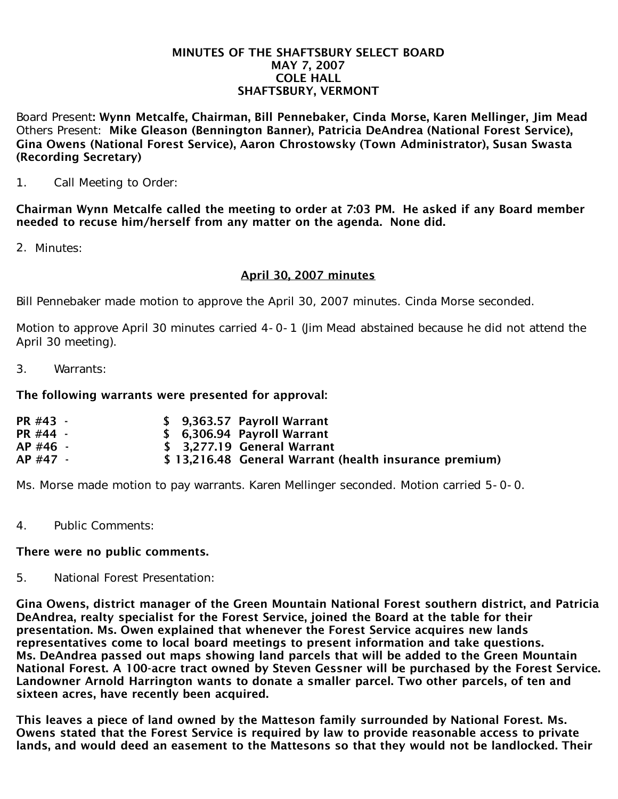#### MINUTES OF THE SHAFTSBURY SELECT BOARD MAY 7, 2007 COLE HALL SHAFTSBURY, VERMONT

Board Present: Wynn Metcalfe, Chairman, Bill Pennebaker, Cinda Morse, Karen Mellinger, Jim Mead Others Present: Mike Gleason (Bennington Banner), Patricia DeAndrea (National Forest Service), Gina Owens (National Forest Service), Aaron Chrostowsky (Town Administrator), Susan Swasta (Recording Secretary)

1. Call Meeting to Order:

Chairman Wynn Metcalfe called the meeting to order at 7:03 PM. He asked if any Board member needed to recuse him/herself from any matter on the agenda. None did.

2. Minutes:

## April 30, 2007 minutes

Bill Pennebaker made motion to approve the April 30, 2007 minutes. Cinda Morse seconded.

Motion to approve April 30 minutes carried 4-0-1 (Jim Mead abstained because he did not attend the April 30 meeting).

3. Warrants:

### The following warrants were presented for approval:

| PR #43 - |  | \$ 9,363.57 Payroll Warrant                            |
|----------|--|--------------------------------------------------------|
| PR #44 - |  | \$ 6,306.94 Payroll Warrant                            |
| AP #46 - |  | \$ 3,277.19 General Warrant                            |
| AP #47 - |  | \$13,216.48 General Warrant (health insurance premium) |

Ms. Morse made motion to pay warrants. Karen Mellinger seconded. Motion carried 5-0-0.

4. Public Comments:

### There were no public comments.

5. National Forest Presentation:

Gina Owens, district manager of the Green Mountain National Forest southern district, and Patricia DeAndrea, realty specialist for the Forest Service, joined the Board at the table for their presentation. Ms. Owen explained that whenever the Forest Service acquires new lands representatives come to local board meetings to present information and take questions. Ms. DeAndrea passed out maps showing land parcels that will be added to the Green Mountain National Forest. A 100-acre tract owned by Steven Gessner will be purchased by the Forest Service. Landowner Arnold Harrington wants to donate a smaller parcel. Two other parcels, of ten and sixteen acres, have recently been acquired.

This leaves a piece of land owned by the Matteson family surrounded by National Forest. Ms. Owens stated that the Forest Service is required by law to provide reasonable access to private lands, and would deed an easement to the Mattesons so that they would not be landlocked. Their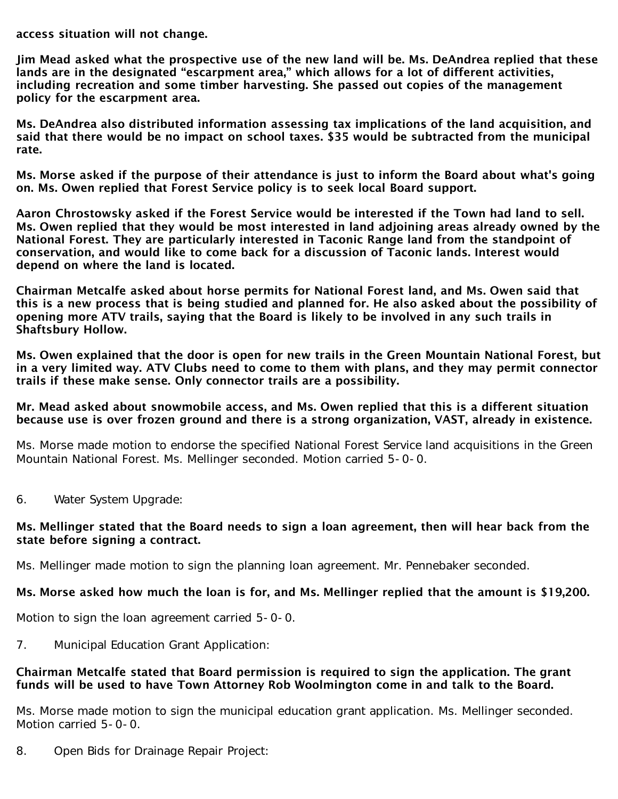access situation will not change.

Jim Mead asked what the prospective use of the new land will be. Ms. DeAndrea replied that these lands are in the designated "escarpment area," which allows for a lot of different activities, including recreation and some timber harvesting. She passed out copies of the management policy for the escarpment area.

Ms. DeAndrea also distributed information assessing tax implications of the land acquisition, and said that there would be no impact on school taxes. \$35 would be subtracted from the municipal rate.

Ms. Morse asked if the purpose of their attendance is just to inform the Board about what's going on. Ms. Owen replied that Forest Service policy is to seek local Board support.

Aaron Chrostowsky asked if the Forest Service would be interested if the Town had land to sell. Ms. Owen replied that they would be most interested in land adjoining areas already owned by the National Forest. They are particularly interested in Taconic Range land from the standpoint of conservation, and would like to come back for a discussion of Taconic lands. Interest would depend on where the land is located.

Chairman Metcalfe asked about horse permits for National Forest land, and Ms. Owen said that this is a new process that is being studied and planned for. He also asked about the possibility of opening more ATV trails, saying that the Board is likely to be involved in any such trails in Shaftsbury Hollow.

Ms. Owen explained that the door is open for new trails in the Green Mountain National Forest, but in a very limited way. ATV Clubs need to come to them with plans, and they may permit connector trails if these make sense. Only connector trails are a possibility.

### Mr. Mead asked about snowmobile access, and Ms. Owen replied that this is a different situation because use is over frozen ground and there is a strong organization, VAST, already in existence.

Ms. Morse made motion to endorse the specified National Forest Service land acquisitions in the Green Mountain National Forest. Ms. Mellinger seconded. Motion carried 5-0-0.

6. Water System Upgrade:

## Ms. Mellinger stated that the Board needs to sign a loan agreement, then will hear back from the state before signing a contract.

Ms. Mellinger made motion to sign the planning loan agreement. Mr. Pennebaker seconded.

# Ms. Morse asked how much the loan is for, and Ms. Mellinger replied that the amount is \$19,200.

Motion to sign the loan agreement carried 5-0-0.

7. Municipal Education Grant Application:

## Chairman Metcalfe stated that Board permission is required to sign the application. The grant funds will be used to have Town Attorney Rob Woolmington come in and talk to the Board.

Ms. Morse made motion to sign the municipal education grant application. Ms. Mellinger seconded. Motion carried 5-0-0.

8. Open Bids for Drainage Repair Project: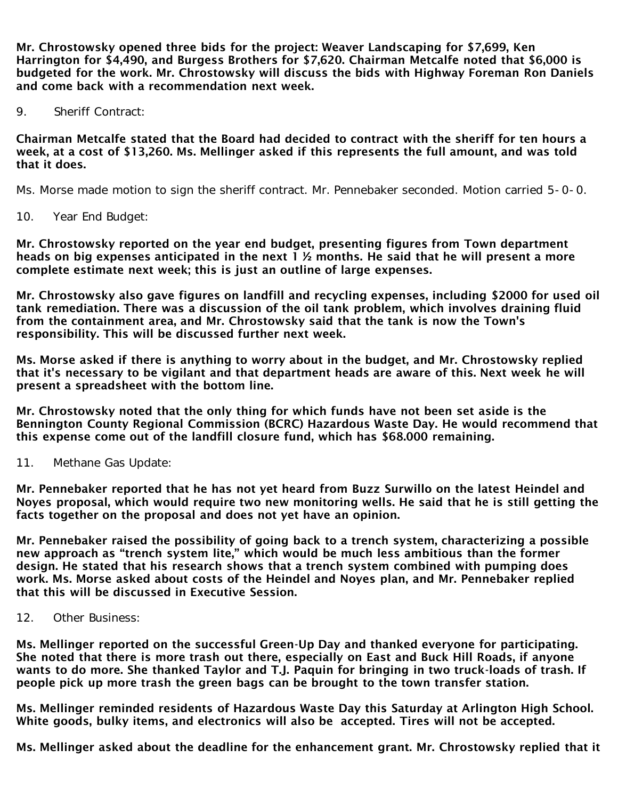Mr. Chrostowsky opened three bids for the project: Weaver Landscaping for \$7,699, Ken Harrington for \$4,490, and Burgess Brothers for \$7,620. Chairman Metcalfe noted that \$6,000 is budgeted for the work. Mr. Chrostowsky will discuss the bids with Highway Foreman Ron Daniels and come back with a recommendation next week.

9. Sheriff Contract:

Chairman Metcalfe stated that the Board had decided to contract with the sheriff for ten hours a week, at a cost of \$13,260. Ms. Mellinger asked if this represents the full amount, and was told that it does.

Ms. Morse made motion to sign the sheriff contract. Mr. Pennebaker seconded. Motion carried 5-0-0.

10. Year End Budget:

Mr. Chrostowsky reported on the year end budget, presenting figures from Town department heads on big expenses anticipated in the next 1 ½ months. He said that he will present a more complete estimate next week; this is just an outline of large expenses.

Mr. Chrostowsky also gave figures on landfill and recycling expenses, including \$2000 for used oil tank remediation. There was a discussion of the oil tank problem, which involves draining fluid from the containment area, and Mr. Chrostowsky said that the tank is now the Town's responsibility. This will be discussed further next week.

Ms. Morse asked if there is anything to worry about in the budget, and Mr. Chrostowsky replied that it's necessary to be vigilant and that department heads are aware of this. Next week he will present a spreadsheet with the bottom line.

Mr. Chrostowsky noted that the only thing for which funds have not been set aside is the Bennington County Regional Commission (BCRC) Hazardous Waste Day. He would recommend that this expense come out of the landfill closure fund, which has \$68.000 remaining.

11. Methane Gas Update:

Mr. Pennebaker reported that he has not yet heard from Buzz Surwillo on the latest Heindel and Noyes proposal, which would require two new monitoring wells. He said that he is still getting the facts together on the proposal and does not yet have an opinion.

Mr. Pennebaker raised the possibility of going back to a trench system, characterizing a possible new approach as "trench system lite," which would be much less ambitious than the former design. He stated that his research shows that a trench system combined with pumping does work. Ms. Morse asked about costs of the Heindel and Noyes plan, and Mr. Pennebaker replied that this will be discussed in Executive Session.

12. Other Business:

Ms. Mellinger reported on the successful Green-Up Day and thanked everyone for participating. She noted that there is more trash out there, especially on East and Buck Hill Roads, if anyone wants to do more. She thanked Taylor and T.J. Paquin for bringing in two truck-loads of trash. If people pick up more trash the green bags can be brought to the town transfer station.

Ms. Mellinger reminded residents of Hazardous Waste Day this Saturday at Arlington High School. White goods, bulky items, and electronics will also be accepted. Tires will not be accepted.

Ms. Mellinger asked about the deadline for the enhancement grant. Mr. Chrostowsky replied that it